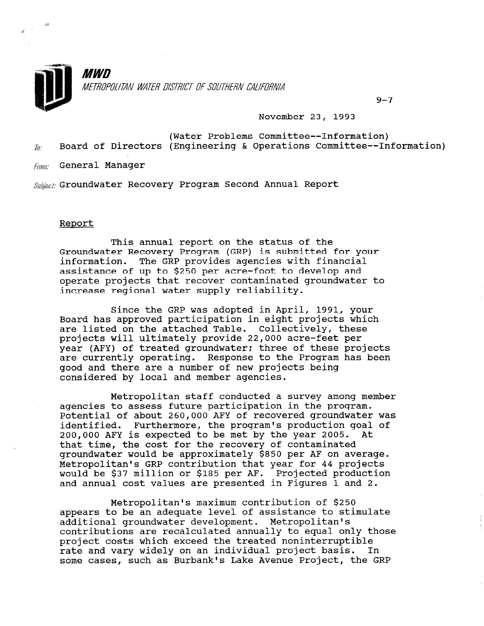

 $9 - 7$ 

### November 23, 1993

(Water Problems Committee--Information)  $\bar{z}_2$  Board of Directors (Engineering & Operations Committee--Information)

**Fram:** General Manager

Subjact: Groundwater Recovery Program Second Annual Report

## Report

This annual report on the status of the Groundwater Recovery Program (GRP) is submitted for your information. The GRP provides agencies with financial assistance of up to \$250 per acre-foot to develop and operate projects that recover contaminated groundwater to increase regional water supply reliability.

Since the GRP was adopted in April, 1991, your Board has approved participation in eight projects which are listed on the attached Table. Collectively, these projects will ultimately provide 22,000 acre-feet per year (AFY) of treated groundwater; three of these projects are currently operating. Response to the Program has been good and there are a number of new projects being considered by local and member agencies.

Metropolitan staff conducted a survey among member agencies to assess future participation in the program. Potential of about 260,000 AFY of recovered groundwater was identified. Furthermore, the program's production goal of 200,000 AFY is expected to be met by the year 2005. At that time, the cost for the recovery of contaminated groundwater would be approximately \$850 per AF on average. Metropolitan's GRP contribution that year for 44 projects would be \$37 million or \$185 per AF. Projected production and annual cost values are presented in Figures 1 and 2.

Metropolitan's maximum contribution of \$250 metropolitan's maximum contribution of 5250 appears to be an adequate level of assistance ( additional groundwater development. Metropolitan's contributions are recalculated annually to equal only those<br>project costs which exceed the treated noninterruptible project costs which exceed the treated hominterruptible. some cases, such as Burbank's Lake Avenue Project, the GRP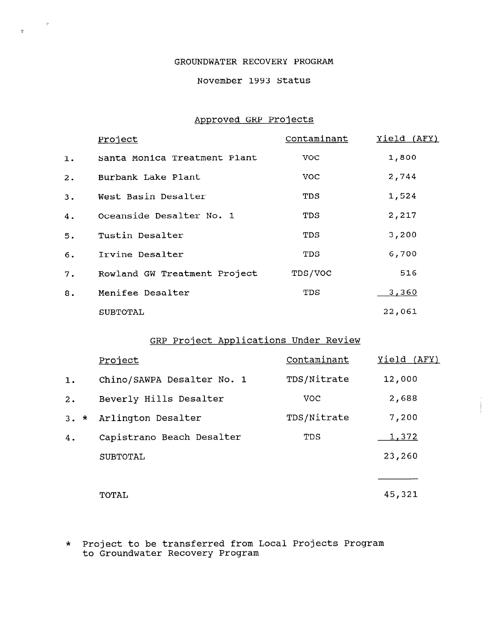## GROUNDWATER RECOVERY PROGRAM

 $\label{eq:3.1} \begin{array}{ccccc} \mathbb{Q}^1 & & & & & & & \mathbb{Q}^1 \\ & & & & & & & & \mathbb{Q}^1 \\ & & & & & & & & \mathbb{Q}^1 \\ & & & & & & & & \mathbb{Q}^1 \\ & & & & & & & & \mathbb{Q}^1 \end{array}$ 

## November 1993 Status

## Approved GRP Projects

|    | Project                      | Contaminant | Yield (AFY) |
|----|------------------------------|-------------|-------------|
| 1. | Santa Monica Treatment Plant | <b>VOC</b>  | 1,800       |
| 2. | Burbank Lake Plant           | <b>VOC</b>  | 2,744       |
| 3. | West Basin Desalter          | TDS         | 1,524       |
| 4. | Oceanside Desalter No. 1     | TDS         | 2,217       |
| 5. | Tustin Desalter              | TDS         | 3,200       |
| б. | Irvine Desalter              | TDS         | 6,700       |
| 7. | Rowland GW Treatment Project | TDS/VOC     | 516         |
| 8. | Menifee Desalter             | TDS         | 3,360       |
|    | SUBTOTAL                     |             | 22,061      |

## GRP Project Applications Under Review

|        | Project                    | Contaminant | Yield<br>(AFY)                                                             |
|--------|----------------------------|-------------|----------------------------------------------------------------------------|
| 1.     | Chino/SAWPA Desalter No. 1 | TDS/Nitrate | 12,000                                                                     |
| 2.     | Beverly Hills Desalter     | <b>VOC</b>  | 2,688                                                                      |
| $3. *$ | Arlington Desalter         | TDS/Nitrate | 7,200                                                                      |
| 4.     | Capistrano Beach Desalter  | TDS         | 1,372                                                                      |
|        | <b>SUBTOTAL</b>            |             | 23,260                                                                     |
|        |                            |             |                                                                            |
|        | $m \wedge m \wedge r$      |             | $\overline{A}$ $\overline{B}$ $\overline{A}$ $\overline{A}$ $\overline{A}$ |

\* Project to be transferred from Local Projects Program Project to be transierred from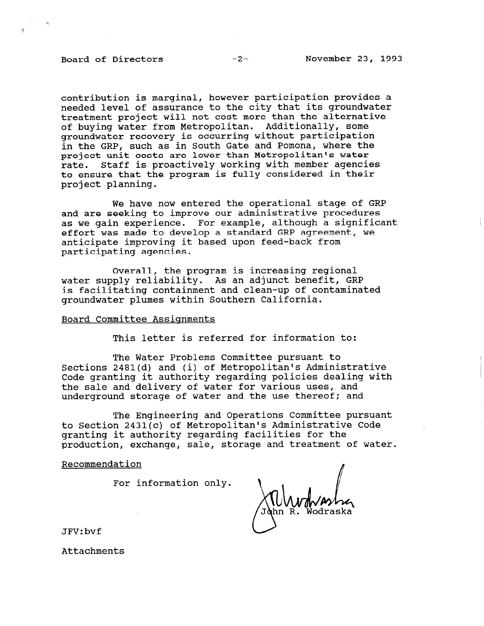## Board of Directors -2- November 23, 1993

contribution is marginal, however participation provides a needed level of assurance to the city that its groundwater treatment project will not cost more than the alternative of buying water from Metropolitan. Additionally, some groundwater recovery is occurring without participation in the GRP, such as in South Gate and Pomona, where the project unit costs are lower than Metropolitan's water rate. Staff is proactively working with member agencies to ensure that the program is fully considered in their project planning.

We have now entered the operational stage of GRP and are seeking to improve our administrative procedures as we gain experience. For example, although a significant effort was made to develop a standard GRP agreement, we anticipate improving it based upon feed-back from participating agencies.

Overall, the program is increasing regional water supply reliability. As an adjunct benefit, GRP is facilitating containment and clean-up of contaminated groundwater plumes within Southern California.

#### Board Committee Assignments

This letter is referred for information to:

The Water Problems Committee pursuant to Sections 2481(d) and (i) of Metropolitan's Administrative Code granting it authority regarding policies dealing with the sale and delivery of water for various uses, and underground storage of water and the use thereof; and

The Engineering and Operations Committee pursuant to Section 2431(c) of Metropolitan's Administrative Code granting it authority regarding facilities for the production, exchange, sale, storage and treatment of water.

Recommendation

For information only.

JFV:bvf

Attachments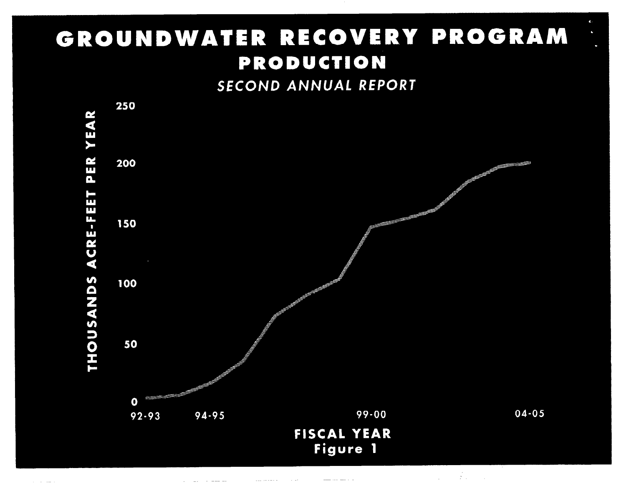# GROUNDWATER RECOVERY PROGRAM **PRODUCTION**



 $\mathcal{L}(\mathcal{A})$